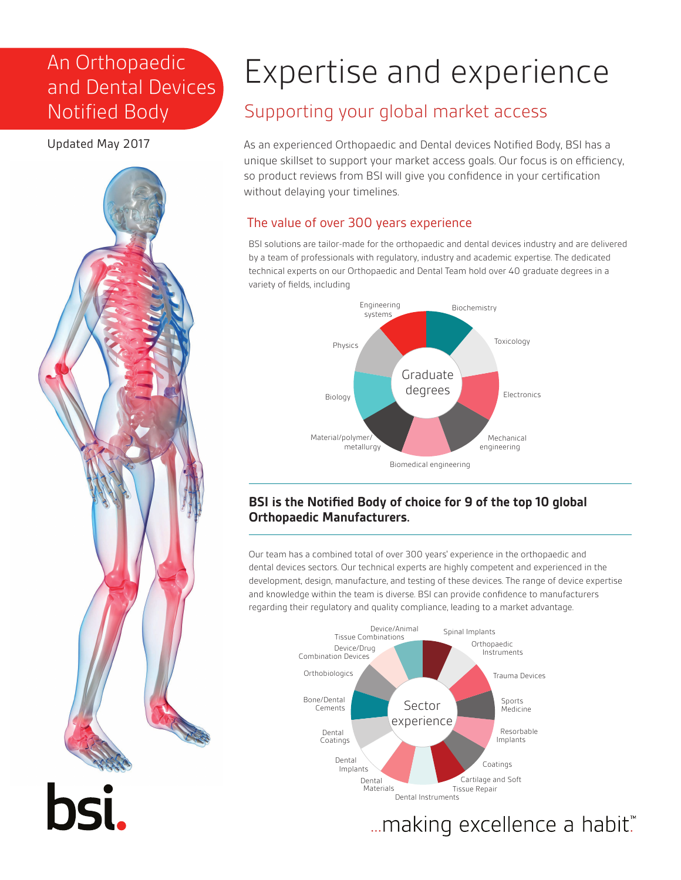# An Orthopaedic and Dental Devices Notified Body

Updated May 2017



# Expertise and experience

## Supporting your global market access

As an experienced Orthopaedic and Dental devices Notified Body, BSI has a unique skillset to support your market access goals. Our focus is on efficiency, so product reviews from BSI will give you confidence in your certification without delaying your timelines.

#### The value of over 300 years experience

BSI solutions are tailor-made for the orthopaedic and dental devices industry and are delivered by a team of professionals with regulatory, industry and academic expertise. The dedicated technical experts on our Orthopaedic and Dental Team hold over 40 graduate degrees in a variety of fields, including



#### **BSI is the Notified Body of choice for 9 of the top 10 global Orthopaedic Manufacturers.**

Our team has a combined total of over 300 years' experience in the orthopaedic and dental devices sectors. Our technical experts are highly competent and experienced in the development, design, manufacture, and testing of these devices. The range of device expertise and knowledge within the team is diverse. BSI can provide confidence to manufacturers regarding their regulatory and quality compliance, leading to a market advantage.



... making excellence a habit."